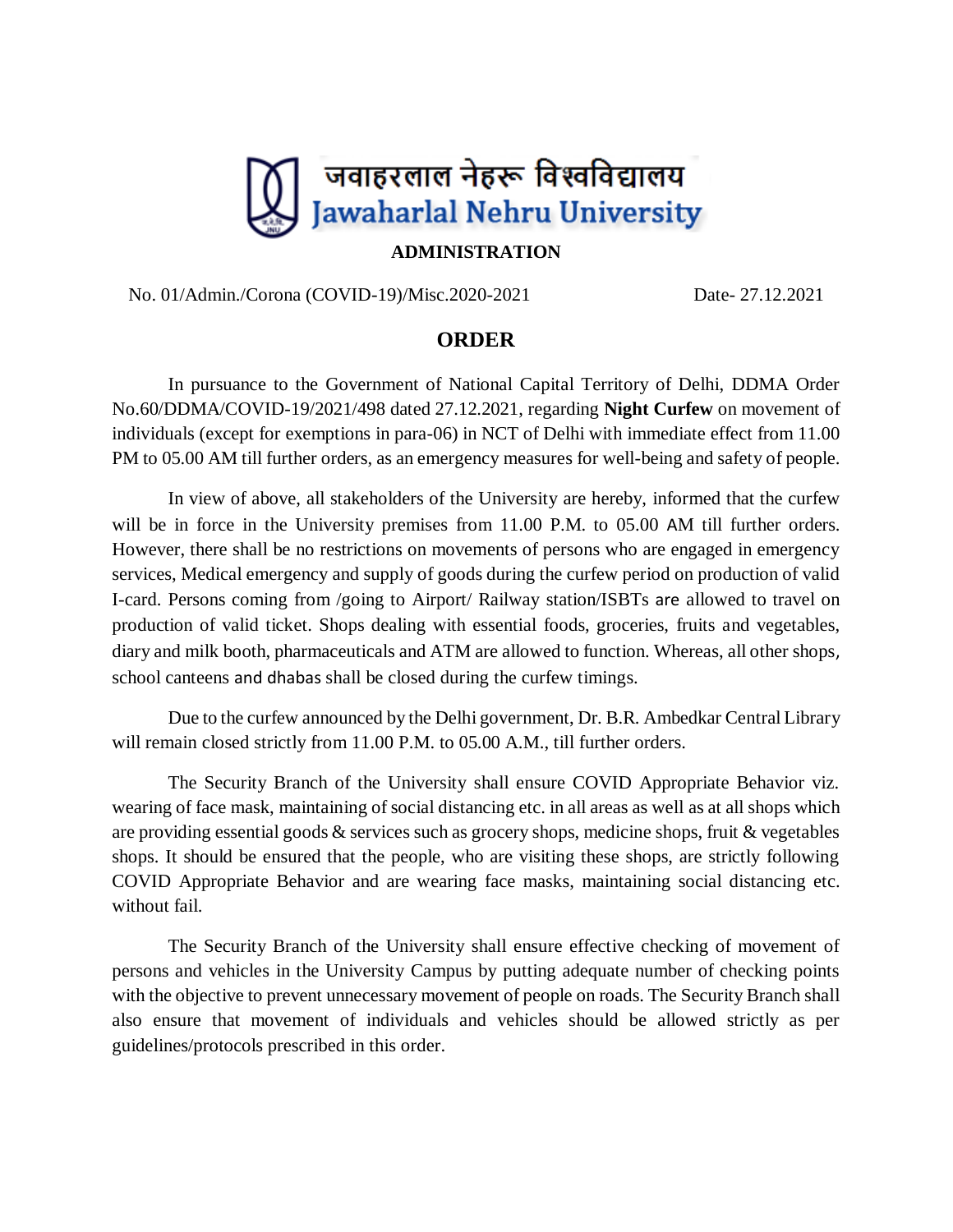

## **ADMINISTRATION**

No. 01/Admin./Corona (COVID-19)/Misc.2020-2021 Date- 27.12.2021

## **ORDER**

In pursuance to the Government of National Capital Territory of Delhi, DDMA Order No.60/DDMA/COVID-19/2021/498 dated 27.12.2021, regarding **Night Curfew** on movement of individuals (except for exemptions in para-06) in NCT of Delhi with immediate effect from 11.00 PM to 05.00 AM till further orders, as an emergency measures for well-being and safety of people.

In view of above, all stakeholders of the University are hereby, informed that the curfew will be in force in the University premises from 11.00 P.M. to 05.00 AM till further orders. However, there shall be no restrictions on movements of persons who are engaged in emergency services, Medical emergency and supply of goods during the curfew period on production of valid I-card. Persons coming from /going to Airport/ Railway station/ISBTs are allowed to travel on production of valid ticket. Shops dealing with essential foods, groceries, fruits and vegetables, diary and milk booth, pharmaceuticals and ATM are allowed to function. Whereas, all other shops, school canteens and dhabas shall be closed during the curfew timings.

Due to the curfew announced by the Delhi government, Dr. B.R. Ambedkar Central Library will remain closed strictly from 11.00 P.M. to 05.00 A.M., till further orders.

The Security Branch of the University shall ensure COVID Appropriate Behavior viz. wearing of face mask, maintaining of social distancing etc. in all areas as well as at all shops which are providing essential goods & services such as grocery shops, medicine shops, fruit & vegetables shops. It should be ensured that the people, who are visiting these shops, are strictly following COVID Appropriate Behavior and are wearing face masks, maintaining social distancing etc. without fail.

The Security Branch of the University shall ensure effective checking of movement of persons and vehicles in the University Campus by putting adequate number of checking points with the objective to prevent unnecessary movement of people on roads. The Security Branch shall also ensure that movement of individuals and vehicles should be allowed strictly as per guidelines/protocols prescribed in this order.